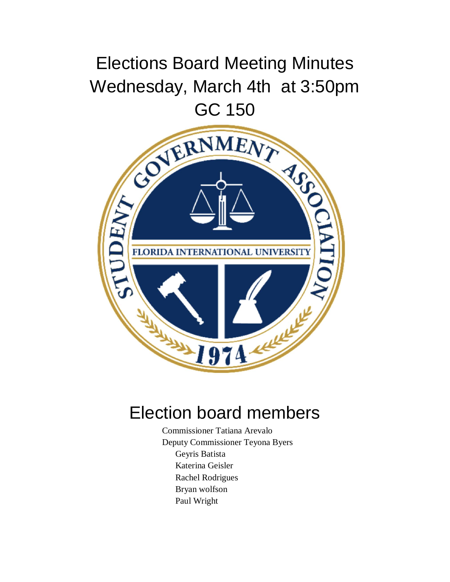## Elections Board Meeting Minutes Wednesday, March 4th at 3:50pm



## Election board members

Commissioner Tatiana Arevalo Deputy Commissioner Teyona Byers Geyris Batista Katerina Geisler Rachel Rodrigues Bryan wolfson Paul Wright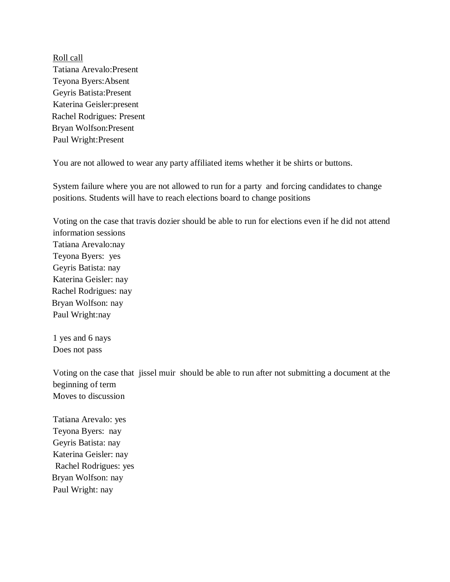Roll call Tatiana Arevalo:Present Teyona Byers:Absent Geyris Batista:Present Katerina Geisler:present Rachel Rodrigues: Present Bryan Wolfson:Present Paul Wright:Present

You are not allowed to wear any party affiliated items whether it be shirts or buttons.

System failure where you are not allowed to run for a party and forcing candidates to change positions. Students will have to reach elections board to change positions

Voting on the case that travis dozier should be able to run for elections even if he did not attend information sessions Tatiana Arevalo:nay Teyona Byers: yes Geyris Batista: nay Katerina Geisler: nay Rachel Rodrigues: nay Bryan Wolfson: nay Paul Wright:nay

1 yes and 6 nays Does not pass

Voting on the case that jissel muir should be able to run after not submitting a document at the beginning of term Moves to discussion

Tatiana Arevalo: yes Teyona Byers: nay Geyris Batista: nay Katerina Geisler: nay Rachel Rodrigues: yes Bryan Wolfson: nay Paul Wright: nay